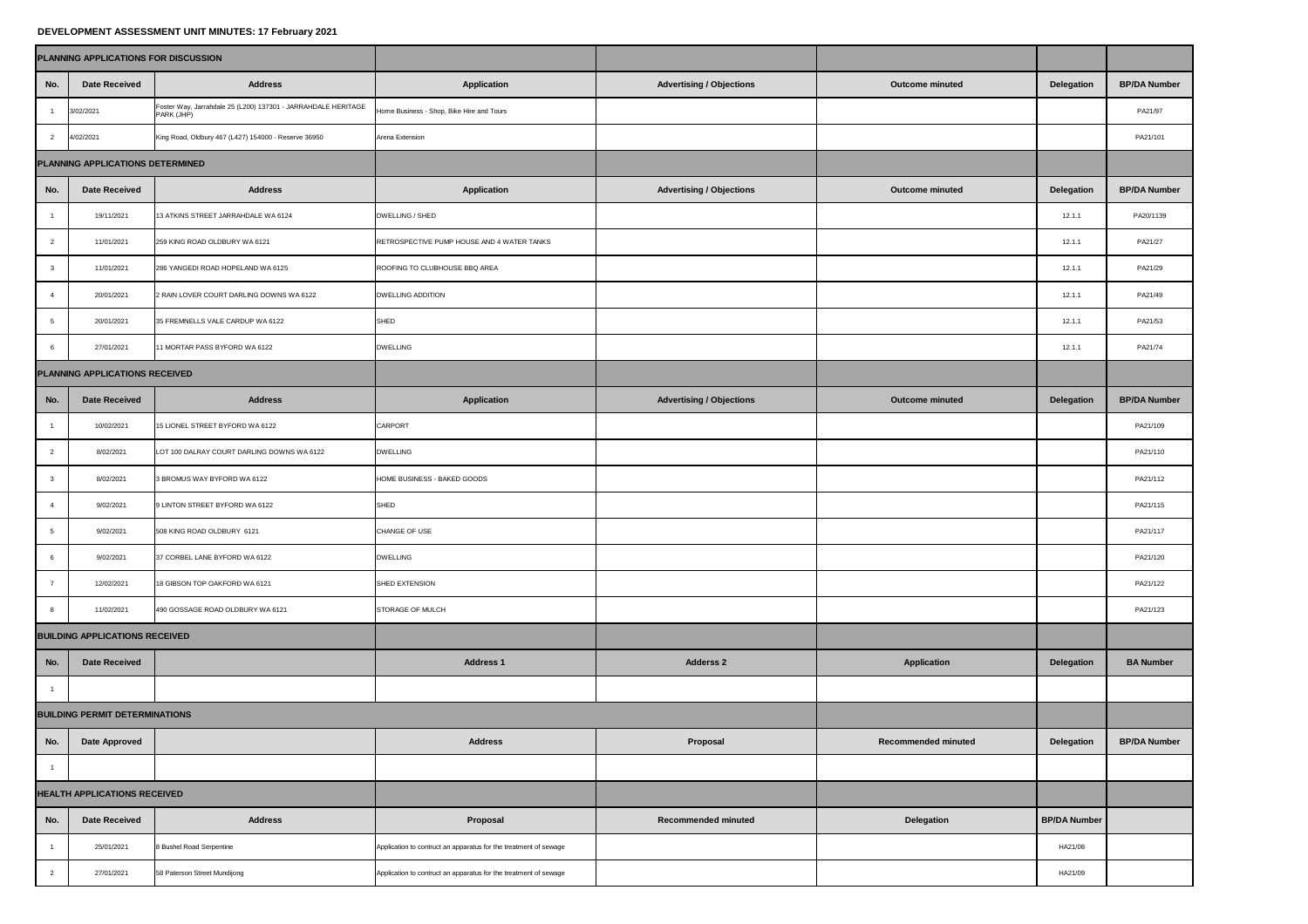## **DEVELOPMENT ASSESSMENT UNIT MINUTES: 17 February 2021**

| PLANNING APPLICATIONS FOR DISCUSSION |                                       |                                                                             |                                                                  |                                 |                            |                     |                     |  |  |
|--------------------------------------|---------------------------------------|-----------------------------------------------------------------------------|------------------------------------------------------------------|---------------------------------|----------------------------|---------------------|---------------------|--|--|
| No.                                  | <b>Date Received</b>                  | <b>Address</b>                                                              | <b>Application</b>                                               | <b>Advertising / Objections</b> | <b>Outcome minuted</b>     | <b>Delegation</b>   | <b>BP/DA Number</b> |  |  |
|                                      | 3/02/2021                             | Foster Way, Jarrahdale 25 (L200) 137301 - JARRAHDALE HERITAGE<br>PARK (JHP) | Home Business - Shop, Bike Hire and Tours                        |                                 |                            |                     | PA21/97             |  |  |
|                                      | 4/02/2021                             | King Road, Oldbury 467 (L427) 154000 - Reserve 36950                        | Arena Extension                                                  |                                 |                            |                     | PA21/101            |  |  |
| PLANNING APPLICATIONS DETERMINED     |                                       |                                                                             |                                                                  |                                 |                            |                     |                     |  |  |
| No.                                  | <b>Date Received</b>                  | <b>Address</b>                                                              | <b>Application</b>                                               | <b>Advertising / Objections</b> | <b>Outcome minuted</b>     | <b>Delegation</b>   | <b>BP/DA Number</b> |  |  |
|                                      | 19/11/2021                            | 13 ATKINS STREET JARRAHDALE WA 6124                                         | DWELLING / SHED                                                  |                                 |                            | 12.1.1              | PA20/1139           |  |  |
|                                      | 11/01/2021                            | 259 KING ROAD OLDBURY WA 6121                                               | RETROSPECTIVE PUMP HOUSE AND 4 WATER TANKS                       |                                 |                            | 12.1.1              | PA21/27             |  |  |
|                                      | 11/01/2021                            | 286 YANGEDI ROAD HOPELAND WA 6125                                           | ROOFING TO CLUBHOUSE BBQ AREA                                    |                                 |                            | 12.1.1              | PA21/29             |  |  |
|                                      | 20/01/2021                            | 2 RAIN LOVER COURT DARLING DOWNS WA 6122                                    | <b>DWELLING ADDITION</b>                                         |                                 |                            | 12.1.1              | PA21/49             |  |  |
| 5                                    | 20/01/2021                            | 35 FREMNELLS VALE CARDUP WA 6122                                            | SHED                                                             |                                 |                            | 12.1.1              | PA21/53             |  |  |
|                                      | 27/01/2021                            | 1 MORTAR PASS BYFORD WA 6122                                                | <b>DWELLING</b>                                                  |                                 |                            | 12.1.1              | PA21/74             |  |  |
|                                      | PLANNING APPLICATIONS RECEIVED        |                                                                             |                                                                  |                                 |                            |                     |                     |  |  |
| No.                                  | <b>Date Received</b>                  | <b>Address</b>                                                              | <b>Application</b>                                               | <b>Advertising / Objections</b> | <b>Outcome minuted</b>     | <b>Delegation</b>   | <b>BP/DA Number</b> |  |  |
|                                      | 10/02/2021                            | 15 LIONEL STREET BYFORD WA 6122                                             | <b>CARPORT</b>                                                   |                                 |                            |                     | PA21/109            |  |  |
| $\overline{2}$                       | 8/02/2021                             | LOT 100 DALRAY COURT DARLING DOWNS WA 6122                                  | <b>DWELLING</b>                                                  |                                 |                            |                     | PA21/110            |  |  |
| $\mathbf{3}$                         | 8/02/2021                             | 3 BROMUS WAY BYFORD WA 6122                                                 | HOME BUSINESS - BAKED GOODS                                      |                                 |                            |                     | PA21/112            |  |  |
|                                      | 9/02/2021                             | 9 LINTON STREET BYFORD WA 6122                                              | SHED                                                             |                                 |                            |                     | PA21/115            |  |  |
|                                      | 9/02/2021                             | 508 KING ROAD OLDBURY 6121                                                  | CHANGE OF USE                                                    |                                 |                            |                     | PA21/117            |  |  |
| 6                                    | 9/02/2021                             | 37 CORBEL LANE BYFORD WA 6122                                               | <b>DWELLING</b>                                                  |                                 |                            |                     | PA21/120            |  |  |
|                                      | 12/02/2021                            | 18 GIBSON TOP OAKFORD WA 6121                                               | SHED EXTENSION                                                   |                                 |                            |                     | PA21/122            |  |  |
| 8                                    | 11/02/2021                            | 490 GOSSAGE ROAD OLDBURY WA 6121                                            | <b>STORAGE OF MULCH</b>                                          |                                 |                            |                     | PA21/123            |  |  |
|                                      | <b>BUILDING APPLICATIONS RECEIVED</b> |                                                                             |                                                                  |                                 |                            |                     |                     |  |  |
| No.                                  | <b>Date Received</b>                  |                                                                             | <b>Address 1</b>                                                 | <b>Adderss 2</b>                | <b>Application</b>         | <b>Delegation</b>   | <b>BA Number</b>    |  |  |
|                                      |                                       |                                                                             |                                                                  |                                 |                            |                     |                     |  |  |
|                                      | <b>BUILDING PERMIT DETERMINATIONS</b> |                                                                             |                                                                  |                                 |                            |                     |                     |  |  |
| No.                                  | Date Approved                         |                                                                             | <b>Address</b>                                                   | <b>Proposal</b>                 | <b>Recommended minuted</b> | <b>Delegation</b>   | <b>BP/DA Number</b> |  |  |
|                                      |                                       |                                                                             |                                                                  |                                 |                            |                     |                     |  |  |
| <b>HEALTH APPLICATIONS RECEIVED</b>  |                                       |                                                                             |                                                                  |                                 |                            |                     |                     |  |  |
| No.                                  | <b>Date Received</b>                  | <b>Address</b>                                                              | Proposal                                                         | <b>Recommended minuted</b>      | <b>Delegation</b>          | <b>BP/DA Number</b> |                     |  |  |
|                                      | 25/01/2021                            | 8 Bushel Road Serpentine                                                    | Application to contruct an apparatus for the treatment of sewage |                                 |                            | HA21/08             |                     |  |  |
| $\overline{2}$                       | 27/01/2021                            | 58 Paterson Street Mundijong                                                | Application to contruct an apparatus for the treatment of sewage |                                 |                            | HA21/09             |                     |  |  |